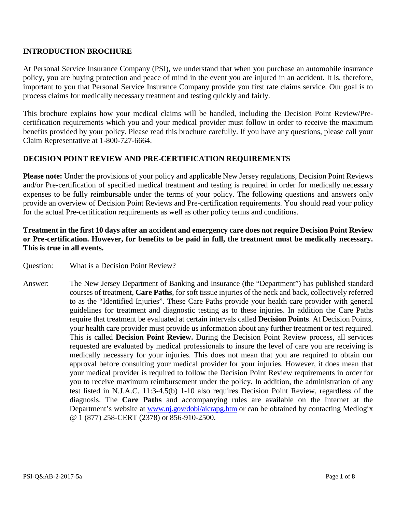# **INTRODUCTION BROCHURE**

At Personal Service Insurance Company (PSI), we understand that when you purchase an automobile insurance policy, you are buying protection and peace of mind in the event you are injured in an accident. It is, therefore, important to you that Personal Service Insurance Company provide you first rate claims service. Our goal is to process claims for medically necessary treatment and testing quickly and fairly.

This brochure explains how your medical claims will be handled, including the Decision Point Review/Precertification requirements which you and your medical provider must follow in order to receive the maximum benefits provided by your policy. Please read this brochure carefully. If you have any questions, please call your Claim Representative at 1-800-727-6664.

# **DECISION POINT REVIEW AND PRE-CERTIFICATION REQUIREMENTS**

**Please note:** Under the provisions of your policy and applicable New Jersey regulations, Decision Point Reviews and/or Pre-certification of specified medical treatment and testing is required in order for medically necessary expenses to be fully reimbursable under the terms of your policy. The following questions and answers only provide an overview of Decision Point Reviews and Pre-certification requirements. You should read your policy for the actual Pre-certification requirements as well as other policy terms and conditions.

# **Treatment in the first 10 days after an accident and emergency care does not require Decision Point Review or Pre-certification. However, for benefits to be paid in full, the treatment must be medically necessary. This is true in all events.**

- Question: What is a Decision Point Review?
- Answer: The New Jersey Department of Banking and Insurance (the "Department") has published standard courses of treatment, **Care Paths**, for soft tissue injuries of the neck and back, collectively referred to as the "Identified Injuries". These Care Paths provide your health care provider with general guidelines for treatment and diagnostic testing as to these injuries. In addition the Care Paths require that treatment be evaluated at certain intervals called **Decision Points**. At Decision Points, your health care provider must provide us information about any further treatment or test required. This is called **Decision Point Review.** During the Decision Point Review process, all services requested are evaluated by medical professionals to insure the level of care you are receiving is medically necessary for your injuries. This does not mean that you are required to obtain our approval before consulting your medical provider for your injuries. However, it does mean that your medical provider is required to follow the Decision Point Review requirements in order for you to receive maximum reimbursement under the policy. In addition, the administration of any test listed in N.J.A.C. 11:3-4.5(b) 1-10 also requires Decision Point Review, regardless of the diagnosis. The **Care Paths** and accompanying rules are available on the Internet at the Department's website at [www.nj.gov/dobi/aicrapg.htm](http://www.nj.gov/dobi/aicrapg.htm) or can be obtained by contacting Medlogix @ 1 (877) 258-CERT (2378) or 856-910-2500.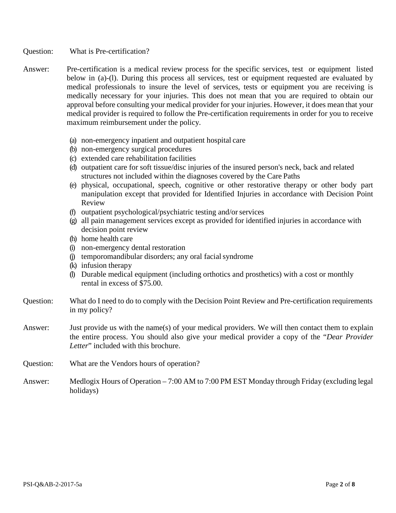Question: What is Pre-certification?

- Answer: Pre-certification is a medical review process for the specific services, test or equipment listed below in (a)-(l). During this process all services, test or equipment requested are evaluated by medical professionals to insure the level of services, tests or equipment you are receiving is medically necessary for your injuries. This does not mean that you are required to obtain our approval before consulting your medical provider for your injuries. However, it does mean that your medical provider is required to follow the Pre-certification requirements in order for you to receive maximum reimbursement under the policy.
	- (a) non-emergency inpatient and outpatient hospital care
	- (b) non-emergency surgical procedures
	- (c) extended care rehabilitation facilities
	- (d) outpatient care for soft tissue/disc injuries of the insured person's neck, back and related structures not included within the diagnoses covered by the Care Paths
	- (e) physical, occupational, speech, cognitive or other restorative therapy or other body part manipulation except that provided for Identified Injuries in accordance with Decision Point Review
	- (f) outpatient psychological/psychiatric testing and/orservices
	- (g) all pain management services except as provided for identified injuries in accordance with decision point review
	- (h) home health care
	- (i) non-emergency dental restoration
	- (j) temporomandibular disorders; any oral facialsyndrome
	- (k) infusion therapy
	- (l) Durable medical equipment (including orthotics and prosthetics) with a cost or monthly rental in excess of \$75.00.
- Question: What do I need to do to comply with the Decision Point Review and Pre-certification requirements in my policy?
- Answer: Just provide us with the name(s) of your medical providers. We will then contact them to explain the entire process. You should also give your medical provider a copy of the "*Dear Provider Letter*" included with this brochure.
- Question: What are the Vendors hours of operation?
- Answer: Medlogix Hours of Operation 7:00 AM to 7:00 PM EST Monday through Friday (excluding legal holidays)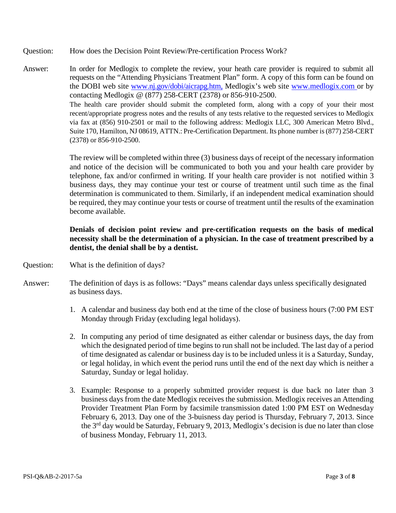- Question: How does the Decision Point Review/Pre-certification Process Work?
- Answer: In order for Medlogix to complete the review, your heath care provider is required to submit all requests on the "Attending Physicians Treatment Plan" form. A copy of this form can be found on the DOBI web site [www.nj.gov/dobi/aicrapg.htm,](http://www.nj.gov/dobi/aicrapg.htm) Medlogix's web site www.medlogix.com or by contacting Medlogix @ (877) 258-CERT (2378) or 856-910-2500. The health care provider should submit the completed form, along with a copy of your their most recent/appropriate progress notes and the results of any tests relative to the requested services to Medlogix via fax at (856) 910-2501 or mail to the following address: Medlogix LLC, 300 American Metro Blvd., Suite 170, Hamilton, NJ 08619, ATTN.: Pre-Certification Department. Its phone number is (877) 258-CERT (2378) or 856-910-2500.

The review will be completed within three (3) business days of receipt of the necessary information and notice of the decision will be communicated to both you and your health care provider by telephone, fax and/or confirmed in writing. If your health care provider is not notified within 3 business days, they may continue your test or course of treatment until such time as the final determination is communicated to them. Similarly, if an independent medical examination should be required, they may continue your tests or course of treatment until the results of the examination become available.

# **Denials of decision point review and pre-certification requests on the basis of medical necessity shall be the determination of a physician. In the case of treatment prescribed by a dentist, the denial shall be by a dentist.**

- Question: What is the definition of days?
- Answer: The definition of days is as follows: "Days" means calendar days unless specifically designated as business days.
	- 1. A calendar and business day both end at the time of the close of business hours (7:00 PM EST Monday through Friday (excluding legal holidays).
	- 2. In computing any period of time designated as either calendar or business days, the day from which the designated period of time begins to run shall not be included. The last day of a period of time designated as calendar or business day is to be included unless it is a Saturday, Sunday, or legal holiday, in which event the period runs until the end of the next day which is neither a Saturday, Sunday or legal holiday.
	- 3. Example: Response to a properly submitted provider request is due back no later than 3 business days from the date Medlogix receives the submission. Medlogix receives an Attending Provider Treatment Plan Form by facsimile transmission dated 1:00 PM EST on Wednesday February 6, 2013. Day one of the 3-buisness day period is Thursday, February 7, 2013. Since the 3<sup>rd</sup> day would be Saturday, February 9, 2013, Medlogix's decision is due no later than close of business Monday, February 11, 2013.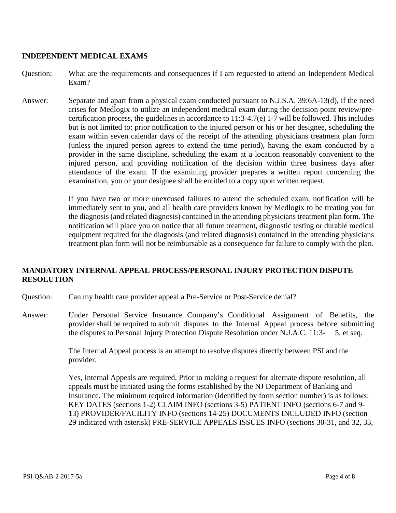#### **INDEPENDENT MEDICAL EXAMS**

Question: What are the requirements and consequences if I am requested to attend an Independent Medical Exam?

Answer: Separate and apart from a physical exam conducted pursuant to N.J.S.A. 39:6A-13(d), if the need arises for Medlogix to utilize an independent medical exam during the decision point review/precertification process, the guidelines in accordance to 11:3-4.7(e) 1-7 will be followed. This includes but is not limited to: prior notification to the injured person or his or her designee, scheduling the exam within seven calendar days of the receipt of the attending physicians treatment plan form (unless the injured person agrees to extend the time period), having the exam conducted by a provider in the same discipline, scheduling the exam at a location reasonably convenient to the injured person, and providing notification of the decision within three business days after attendance of the exam. If the examining provider prepares a written report concerning the examination, you or your designee shall be entitled to a copy upon written request.

> If you have two or more unexcused failures to attend the scheduled exam, notification will be immediately sent to you, and all health care providers known by Medlogix to be treating you for the diagnosis (and related diagnosis) contained in the attending physicians treatment plan form. The notification will place you on notice that all future treatment, diagnostic testing or durable medical equipment required for the diagnosis (and related diagnosis) contained in the attending physicians treatment plan form will not be reimbursable as a consequence for failure to comply with the plan.

# **MANDATORY INTERNAL APPEAL PROCESS/PERSONAL INJURY PROTECTION DISPUTE RESOLUTION**

- Question: Can my health care provider appeal a Pre-Service or Post-Service denial?
- Answer: Under Personal Service Insurance Company's Conditional Assignment of Benefits, the provider shall be required to submit disputes to the Internal Appeal process before submitting the disputes to Personal Injury Protection Dispute Resolution under N.J.A.C. 11:3- 5, et seq.

The Internal Appeal process is an attempt to resolve disputes directly between PSI and the provider.

Yes, Internal Appeals are required. Prior to making a request for alternate dispute resolution, all appeals must be initiated using the forms established by the NJ Department of Banking and Insurance. The minimum required information (identified by form section number) is as follows: KEY DATES (sections 1-2) CLAIM INFO (sections 3-5) PATIENT INFO (sections 6-7 and 9- 13) PROVIDER/FACILITY INFO (sections 14-25) DOCUMENTS INCLUDED INFO (section 29 indicated with asterisk) PRE-SERVICE APPEALS ISSUES INFO (sections 30-31, and 32, 33,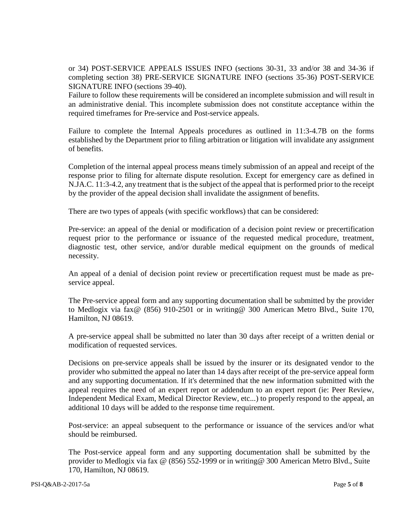or 34) POST-SERVICE APPEALS ISSUES INFO (sections 30-31, 33 and/or 38 and 34-36 if completing section 38) PRE-SERVICE SIGNATURE INFO (sections 35-36) POST-SERVICE SIGNATURE INFO (sections 39-40).

Failure to follow these requirements will be considered an incomplete submission and will result in an administrative denial. This incomplete submission does not constitute acceptance within the required timeframes for Pre-service and Post-service appeals.

Failure to complete the Internal Appeals procedures as outlined in 11:3-4.7B on the forms established by the Department prior to filing arbitration or litigation will invalidate any assignment of benefits.

Completion of the internal appeal process means timely submission of an appeal and receipt of the response prior to filing for alternate dispute resolution. Except for emergency care as defined in N.JA.C. 11:3-4.2, any treatment that is the subject of the appeal that is performed prior to the receipt by the provider of the appeal decision shall invalidate the assignment of benefits.

There are two types of appeals (with specific workflows) that can be considered:

Pre-service: an appeal of the denial or modification of a decision point review or precertification request prior to the performance or issuance of the requested medical procedure, treatment, diagnostic test, other service, and/or durable medical equipment on the grounds of medical necessity.

An appeal of a denial of decision point review or precertification request must be made as preservice appeal.

The Pre-service appeal form and any supporting documentation shall be submitted by the provider to Medlogix via fax@ (856) 910-2501 or in writing@ 300 American Metro Blvd., Suite 170, Hamilton, NJ 08619.

A pre-service appeal shall be submitted no later than 30 days after receipt of a written denial or modification of requested services.

Decisions on pre-service appeals shall be issued by the insurer or its designated vendor to the provider who submitted the appeal no later than 14 days after receipt of the pre-service appeal form and any supporting documentation. If it's determined that the new information submitted with the appeal requires the need of an expert report or addendum to an expert report (ie: Peer Review, Independent Medical Exam, Medical Director Review, etc...) to properly respond to the appeal, an additional 10 days will be added to the response time requirement.

Post-service: an appeal subsequent to the performance or issuance of the services and/or what should be reimbursed.

The Post-service appeal form and any supporting documentation shall be submitted by the provider to Medlogix via fax @ (856) 552-1999 or in writing@ 300 American Metro Blvd., Suite 170, Hamilton, NJ 08619.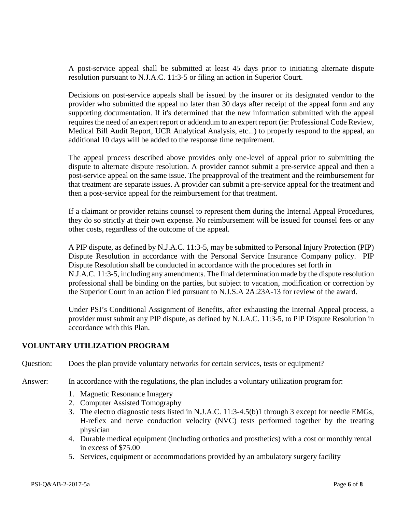A post-service appeal shall be submitted at least 45 days prior to initiating alternate dispute resolution pursuant to N.J.A.C. 11:3-5 or filing an action in Superior Court.

Decisions on post-service appeals shall be issued by the insurer or its designated vendor to the provider who submitted the appeal no later than 30 days after receipt of the appeal form and any supporting documentation. If it's determined that the new information submitted with the appeal requires the need of an expert report or addendum to an expert report (ie: Professional Code Review, Medical Bill Audit Report, UCR Analytical Analysis, etc...) to properly respond to the appeal, an additional 10 days will be added to the response time requirement.

The appeal process described above provides only one-level of appeal prior to submitting the dispute to alternate dispute resolution. A provider cannot submit a pre-service appeal and then a post-service appeal on the same issue. The preapproval of the treatment and the reimbursement for that treatment are separate issues. A provider can submit a pre-service appeal for the treatment and then a post-service appeal for the reimbursement for that treatment.

If a claimant or provider retains counsel to represent them during the Internal Appeal Procedures, they do so strictly at their own expense. No reimbursement will be issued for counsel fees or any other costs, regardless of the outcome of the appeal.

A PIP dispute, as defined by N.J.A.C. 11:3-5, may be submitted to Personal Injury Protection (PIP) Dispute Resolution in accordance with the Personal Service Insurance Company policy. PIP Dispute Resolution shall be conducted in accordance with the procedures set forth in N.J.A.C. 11:3-5, including any amendments. The final determination made by the dispute resolution professional shall be binding on the parties, but subject to vacation, modification or correction by the Superior Court in an action filed pursuant to N.J.S.A 2A:23A-13 for review of the award.

Under PSI's Conditional Assignment of Benefits, after exhausting the Internal Appeal process, a provider must submit any PIP dispute, as defined by N.J.A.C. 11:3-5, to PIP Dispute Resolution in accordance with this Plan.

# **VOLUNTARY UTILIZATION PROGRAM**

Question: Does the plan provide voluntary networks for certain services, tests or equipment?

Answer: In accordance with the regulations, the plan includes a voluntary utilization program for:

- 1. Magnetic Resonance Imagery
- 2. Computer Assisted Tomography
- 3. The electro diagnostic tests listed in N.J.A.C. 11:3-4.5(b)1 through 3 except for needle EMGs, H-reflex and nerve conduction velocity (NVC) tests performed together by the treating physician
- 4. Durable medical equipment (including orthotics and prosthetics) with a cost or monthly rental in excess of \$75.00
- 5. Services, equipment or accommodations provided by an ambulatory surgery facility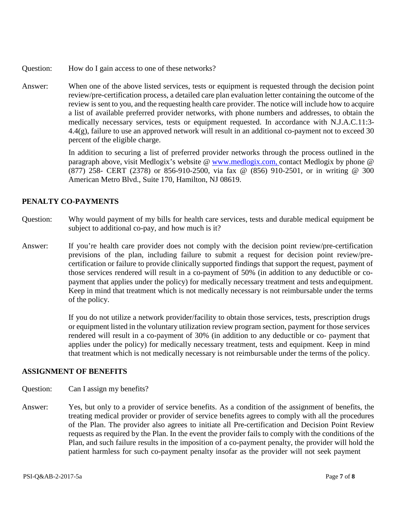- Question: How do I gain access to one of these networks?
- Answer: When one of the above listed services, tests or equipment is requested through the decision point review/pre-certification process, a detailed care plan evaluation letter containing the outcome of the review is sent to you, and the requesting health care provider. The notice will include how to acquire a list of available preferred provider networks, with phone numbers and addresses, to obtain the medically necessary services, tests or equipment requested. In accordance with N.J.A.C.11:3- 4.4(g), failure to use an approved network will result in an additional co-payment not to exceed 30 percent of the eligible charge.

In addition to securing a list of preferred provider networks through the process outlined in the paragraph above, visit Medlogix's website @ www.medlogix.com, contact Medlogix by phone @ (877) 258- CERT (2378) or 856-910-2500, via fax @ (856) 910-2501, or in writing @ 300 American Metro Blvd., Suite 170, Hamilton, NJ 08619.

# **PENALTY CO-PAYMENTS**

- Question: Why would payment of my bills for health care services, tests and durable medical equipment be subject to additional co-pay, and how much is it?
- Answer: If you're health care provider does not comply with the decision point review/pre-certification previsions of the plan, including failure to submit a request for decision point review/precertification or failure to provide clinically supported findings that support the request, payment of those services rendered will result in a co-payment of 50% (in addition to any deductible or copayment that applies under the policy) for medically necessary treatment and tests and equipment. Keep in mind that treatment which is not medically necessary is not reimbursable under the terms of the policy.

If you do not utilize a network provider/facility to obtain those services, tests, prescription drugs or equipment listed in the voluntary utilization review program section, payment for those services rendered will result in a co-payment of 30% (in addition to any deductible or co- payment that applies under the policy) for medically necessary treatment, tests and equipment. Keep in mind that treatment which is not medically necessary is not reimbursable under the terms of the policy.

#### **ASSIGNMENT OF BENEFITS**

- Question: Can I assign my benefits?
- Answer: Yes, but only to a provider of service benefits. As a condition of the assignment of benefits, the treating medical provider or provider of service benefits agrees to comply with all the procedures of the Plan. The provider also agrees to initiate all Pre-certification and Decision Point Review requests as required by the Plan. In the event the provider fails to comply with the conditions of the Plan, and such failure results in the imposition of a co-payment penalty, the provider will hold the patient harmless for such co-payment penalty insofar as the provider will not seek payment